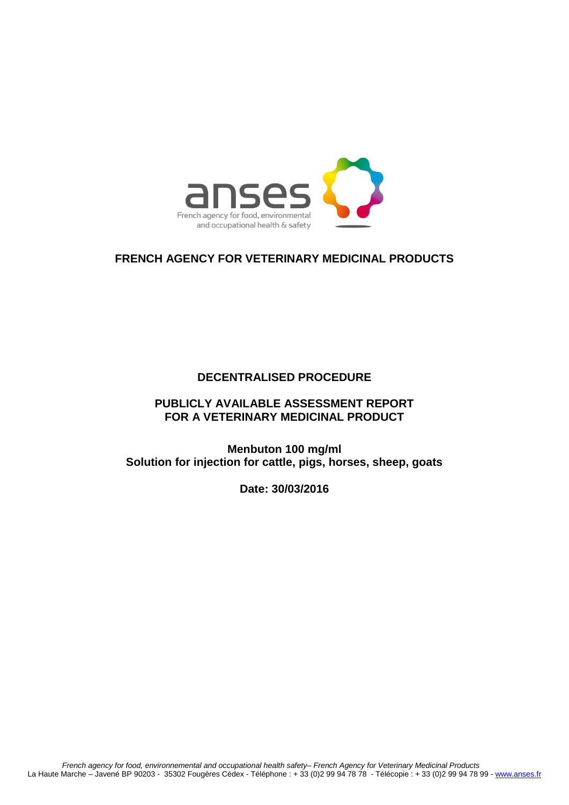

## **FRENCH AGENCY FOR VETERINARY MEDICINAL PRODUCTS**

## **DECENTRALISED PROCEDURE**

## **PUBLICLY AVAILABLE ASSESSMENT REPORT FOR A VETERINARY MEDICINAL PRODUCT**

**Menbuton 100 mg/ml Solution for injection for cattle, pigs, horses, sheep, goats**

**Date: 30/03/2016**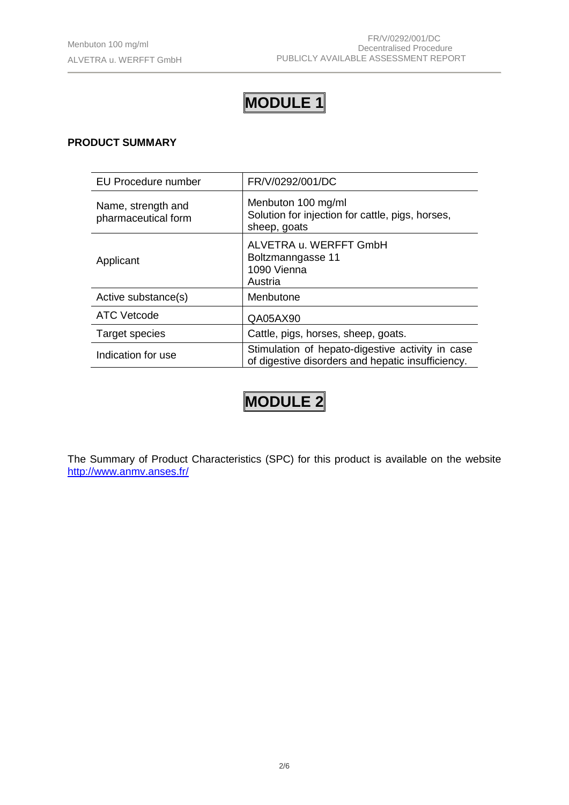## **MODULE 1**

## **PRODUCT SUMMARY**

| EU Procedure number                       | FR/V/0292/001/DC                                                                                      |
|-------------------------------------------|-------------------------------------------------------------------------------------------------------|
| Name, strength and<br>pharmaceutical form | Menbuton 100 mg/ml<br>Solution for injection for cattle, pigs, horses,<br>sheep, goats                |
| Applicant                                 | ALVETRA u. WERFFT GmbH<br>Boltzmanngasse 11<br>1090 Vienna<br>Austria                                 |
| Active substance(s)                       | Menbutone                                                                                             |
| ATC Vetcode                               | QA05AX90                                                                                              |
| Target species                            | Cattle, pigs, horses, sheep, goats.                                                                   |
| Indication for use                        | Stimulation of hepato-digestive activity in case<br>of digestive disorders and hepatic insufficiency. |

# **MODULE 2**

The Summary of Product Characteristics (SPC) for this product is available on the website <http://www.anmv.anses.fr/>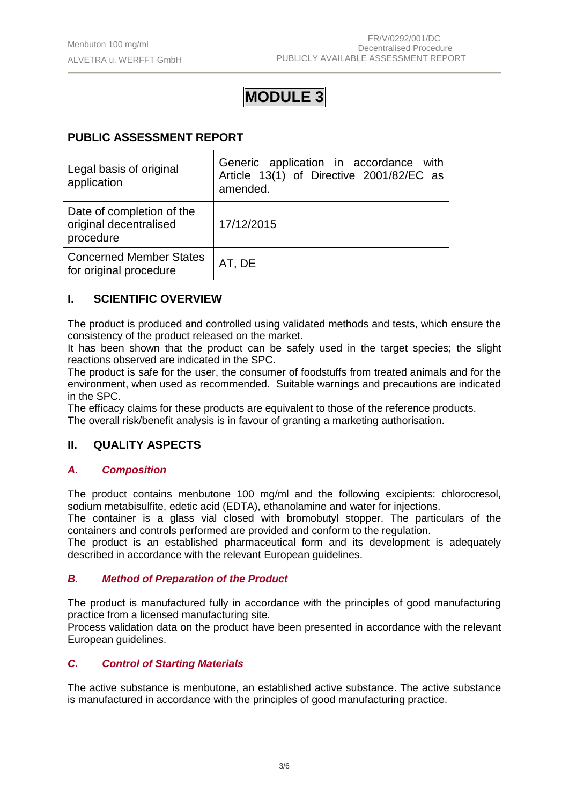## **MODULE 3**

## **PUBLIC ASSESSMENT REPORT**

| Legal basis of original<br>application                           | Generic application in accordance with<br>Article 13(1) of Directive 2001/82/EC as<br>amended. |
|------------------------------------------------------------------|------------------------------------------------------------------------------------------------|
| Date of completion of the<br>original decentralised<br>procedure | 17/12/2015                                                                                     |
| <b>Concerned Member States</b><br>for original procedure         | AT, DE                                                                                         |

## **I. SCIENTIFIC OVERVIEW**

The product is produced and controlled using validated methods and tests, which ensure the consistency of the product released on the market.

It has been shown that the product can be safely used in the target species; the slight reactions observed are indicated in the SPC.

The product is safe for the user, the consumer of foodstuffs from treated animals and for the environment, when used as recommended. Suitable warnings and precautions are indicated in the SPC.

The efficacy claims for these products are equivalent to those of the reference products. The overall risk/benefit analysis is in favour of granting a marketing authorisation.

## **II. QUALITY ASPECTS**

## *A. Composition*

The product contains menbutone 100 mg/ml and the following excipients: chlorocresol, sodium metabisulfite, edetic acid (EDTA), ethanolamine and water for injections.

The container is a glass vial closed with bromobutyl stopper. The particulars of the containers and controls performed are provided and conform to the regulation.

The product is an established pharmaceutical form and its development is adequately described in accordance with the relevant European guidelines.

## *B. Method of Preparation of the Product*

The product is manufactured fully in accordance with the principles of good manufacturing practice from a licensed manufacturing site*.*

Process validation data on the product have been presented in accordance with the relevant European guidelines.

## *C. Control of Starting Materials*

The active substance is menbutone, an established active substance. The active substance is manufactured in accordance with the principles of good manufacturing practice.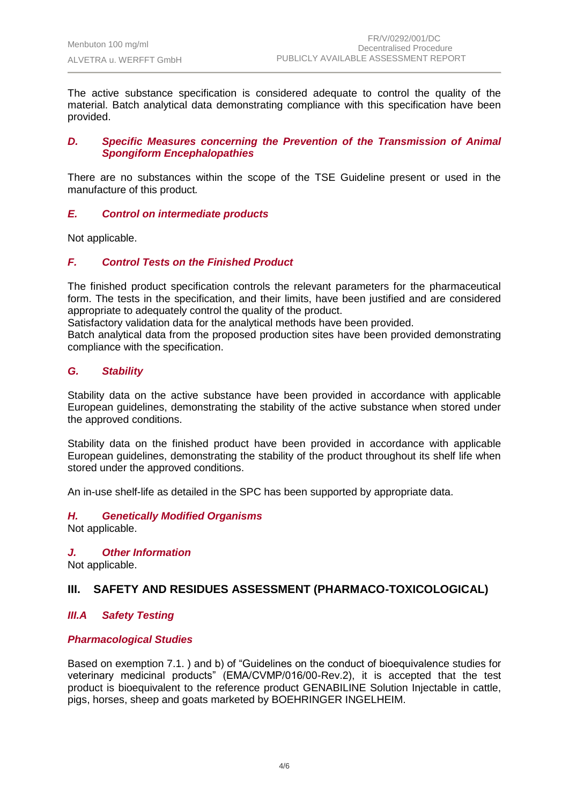The active substance specification is considered adequate to control the quality of the material. Batch analytical data demonstrating compliance with this specification have been provided.

#### *D. Specific Measures concerning the Prevention of the Transmission of Animal Spongiform Encephalopathies*

There are no substances within the scope of the TSE Guideline present or used in the manufacture of this product*.*

#### *E. Control on intermediate products*

Not applicable.

## *F. Control Tests on the Finished Product*

The finished product specification controls the relevant parameters for the pharmaceutical form. The tests in the specification, and their limits, have been justified and are considered appropriate to adequately control the quality of the product.

Satisfactory validation data for the analytical methods have been provided.

Batch analytical data from the proposed production sites have been provided demonstrating compliance with the specification.

#### *G. Stability*

Stability data on the active substance have been provided in accordance with applicable European guidelines, demonstrating the stability of the active substance when stored under the approved conditions.

Stability data on the finished product have been provided in accordance with applicable European guidelines, demonstrating the stability of the product throughout its shelf life when stored under the approved conditions.

An in-use shelf-life as detailed in the SPC has been supported by appropriate data.

#### *H. Genetically Modified Organisms*

Not applicable.

*J. Other Information*

Not applicable.

## **III. SAFETY AND RESIDUES ASSESSMENT (PHARMACO-TOXICOLOGICAL)**

## *III.A Safety Testing*

## *Pharmacological Studies*

Based on exemption 7.1. ) and b) of "Guidelines on the conduct of bioequivalence studies for veterinary medicinal products" (EMA/CVMP/016/00-Rev.2), it is accepted that the test product is bioequivalent to the reference product GENABILINE Solution Injectable in cattle, pigs, horses, sheep and goats marketed by BOEHRINGER INGELHEIM.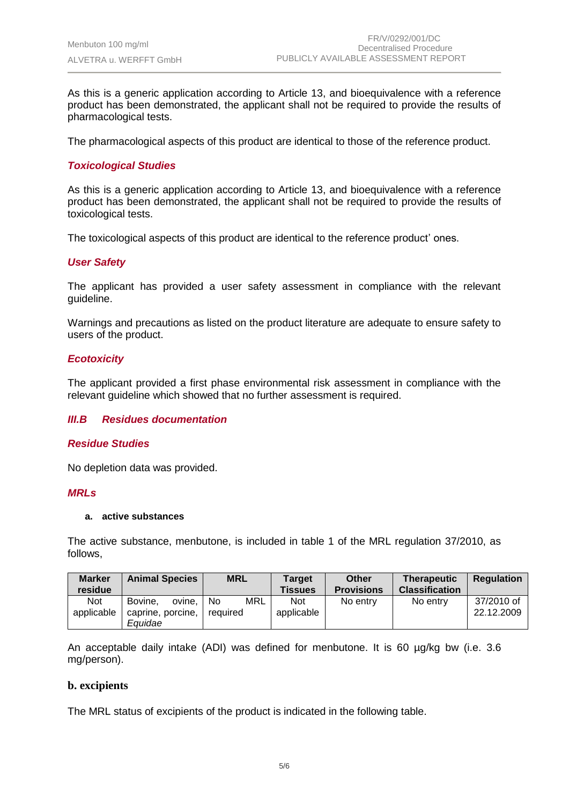As this is a generic application according to Article 13, and bioequivalence with a reference product has been demonstrated, the applicant shall not be required to provide the results of pharmacological tests.

The pharmacological aspects of this product are identical to those of the reference product.

## *Toxicological Studies*

As this is a generic application according to Article 13, and bioequivalence with a reference product has been demonstrated, the applicant shall not be required to provide the results of toxicological tests.

The toxicological aspects of this product are identical to the reference product' ones.

## *User Safety*

The applicant has provided a user safety assessment in compliance with the relevant guideline.

Warnings and precautions as listed on the product literature are adequate to ensure safety to users of the product.

## *Ecotoxicity*

The applicant provided a first phase environmental risk assessment in compliance with the relevant guideline which showed that no further assessment is required.

#### *III.B Residues documentation*

#### *Residue Studies*

No depletion data was provided.

#### *MRLs*

#### **a. active substances**

The active substance, menbutone, is included in table 1 of the MRL regulation 37/2010, as follows,

| <b>Not</b><br>applicable | No entry | No entry | 37/2010 of<br>22.12.2009 |
|--------------------------|----------|----------|--------------------------|
|                          |          |          |                          |

An acceptable daily intake (ADI) was defined for menbutone. It is 60 µg/kg bw (i.e. 3.6 mg/person).

#### **b. excipients**

The MRL status of excipients of the product is indicated in the following table.